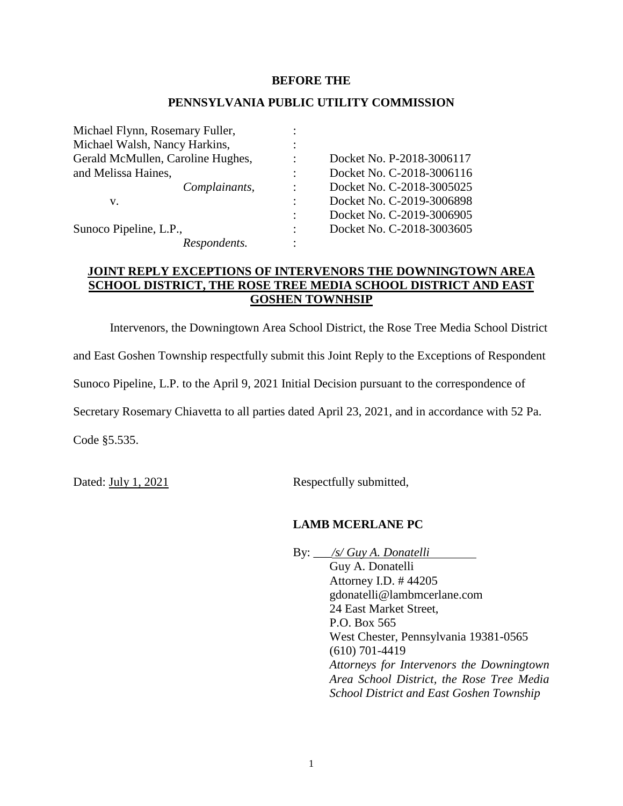### **BEFORE THE**

#### **PENNSYLVANIA PUBLIC UTILITY COMMISSION**

| Michael Flynn, Rosemary Fuller,   |                      |                           |
|-----------------------------------|----------------------|---------------------------|
| Michael Walsh, Nancy Harkins,     |                      |                           |
| Gerald McMullen, Caroline Hughes, |                      | Docket No. P-2018-3006117 |
| and Melissa Haines,               |                      | Docket No. C-2018-3006116 |
| Complainants,                     |                      | Docket No. C-2018-3005025 |
| V.                                |                      | Docket No. C-2019-3006898 |
|                                   | $\ddot{\phantom{a}}$ | Docket No. C-2019-3006905 |
| Sunoco Pipeline, L.P.,            |                      | Docket No. C-2018-3003605 |
| Respondents.                      |                      |                           |

## **JOINT REPLY EXCEPTIONS OF INTERVENORS THE DOWNINGTOWN AREA SCHOOL DISTRICT, THE ROSE TREE MEDIA SCHOOL DISTRICT AND EAST GOSHEN TOWNHSIP**

Intervenors, the Downingtown Area School District, the Rose Tree Media School District

and East Goshen Township respectfully submit this Joint Reply to the Exceptions of Respondent

Sunoco Pipeline, L.P. to the April 9, 2021 Initial Decision pursuant to the correspondence of

Secretary Rosemary Chiavetta to all parties dated April 23, 2021, and in accordance with 52 Pa.

Code §5.535.

Dated: July 1, 2021 Respectfully submitted,

## **LAMB MCERLANE PC**

By: \_\_\_*/s/ Guy A. Donatelli*

Guy A. Donatelli Attorney I.D. # 44205 gdonatelli@lambmcerlane.com 24 East Market Street, P.O. Box 565 West Chester, Pennsylvania 19381-0565 (610) 701-4419 *Attorneys for Intervenors the Downingtown Area School District, the Rose Tree Media School District and East Goshen Township*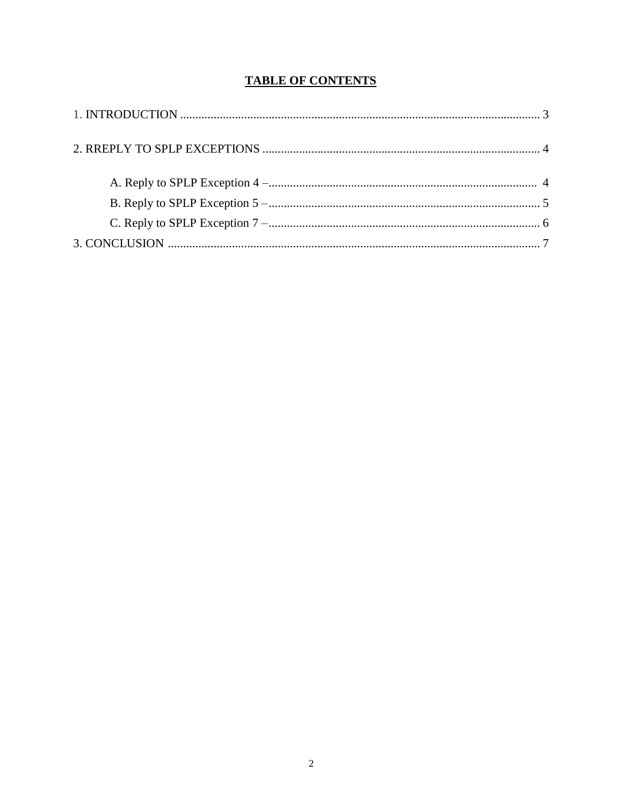# **TABLE OF CONTENTS**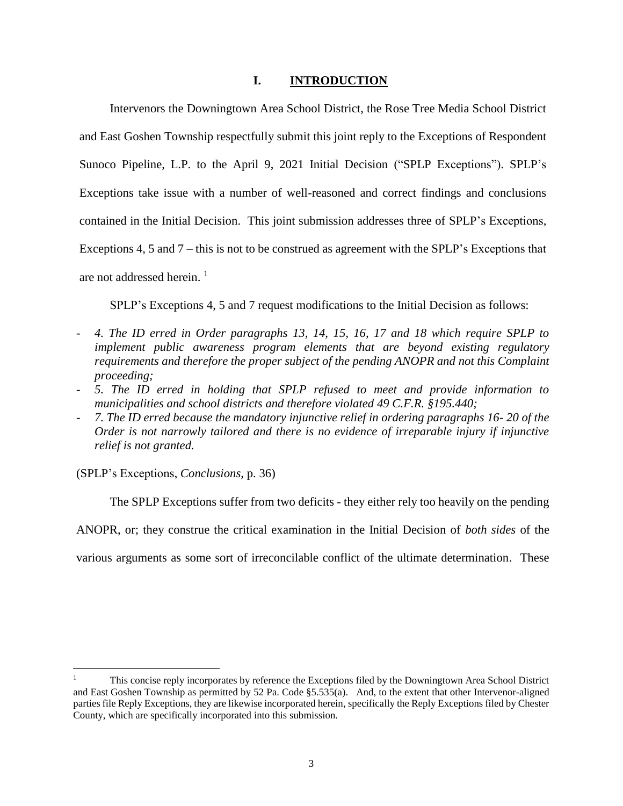## **I. INTRODUCTION**

Intervenors the Downingtown Area School District, the Rose Tree Media School District and East Goshen Township respectfully submit this joint reply to the Exceptions of Respondent Sunoco Pipeline, L.P. to the April 9, 2021 Initial Decision ("SPLP Exceptions"). SPLP's Exceptions take issue with a number of well-reasoned and correct findings and conclusions contained in the Initial Decision. This joint submission addresses three of SPLP's Exceptions, Exceptions 4, 5 and 7 – this is not to be construed as agreement with the SPLP's Exceptions that are not addressed herein. 1

SPLP's Exceptions 4, 5 and 7 request modifications to the Initial Decision as follows:

- *4. The ID erred in Order paragraphs 13, 14, 15, 16, 17 and 18 which require SPLP to implement public awareness program elements that are beyond existing regulatory requirements and therefore the proper subject of the pending ANOPR and not this Complaint proceeding;*
- *5. The ID erred in holding that SPLP refused to meet and provide information to municipalities and school districts and therefore violated 49 C.F.R. §195.440;*
- *7. The ID erred because the mandatory injunctive relief in ordering paragraphs 16- 20 of the Order is not narrowly tailored and there is no evidence of irreparable injury if injunctive relief is not granted.*

(SPLP's Exceptions, *Conclusions,* p. 36)

 $\overline{a}$ 

The SPLP Exceptions suffer from two deficits - they either rely too heavily on the pending ANOPR, or; they construe the critical examination in the Initial Decision of *both sides* of the various arguments as some sort of irreconcilable conflict of the ultimate determination. These

<sup>1</sup> This concise reply incorporates by reference the Exceptions filed by the Downingtown Area School District and East Goshen Township as permitted by 52 Pa. Code §5.535(a). And, to the extent that other Intervenor-aligned parties file Reply Exceptions, they are likewise incorporated herein, specifically the Reply Exceptions filed by Chester County, which are specifically incorporated into this submission.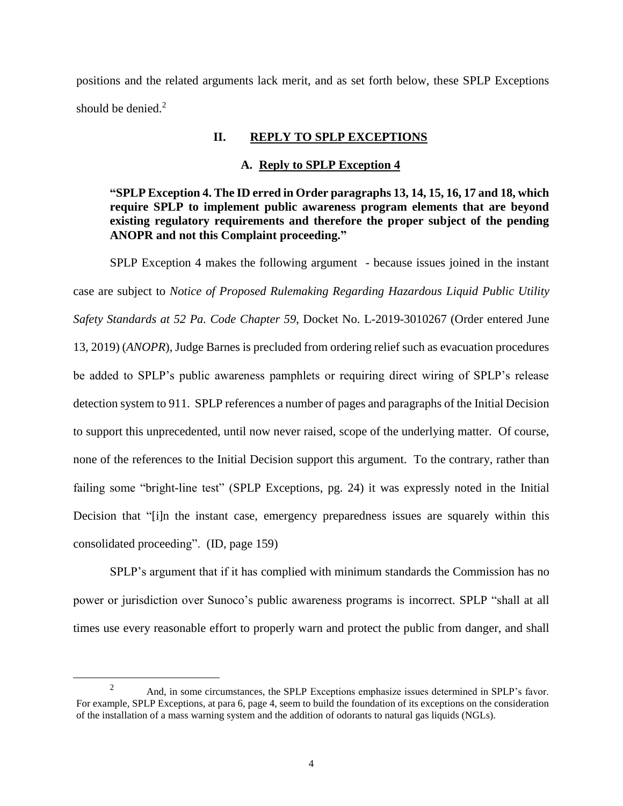positions and the related arguments lack merit, and as set forth below, these SPLP Exceptions should be denied.<sup>2</sup>

## **II. REPLY TO SPLP EXCEPTIONS**

#### **A. Reply to SPLP Exception 4**

**"SPLP Exception 4. The ID erred in Order paragraphs 13, 14, 15, 16, 17 and 18, which require SPLP to implement public awareness program elements that are beyond existing regulatory requirements and therefore the proper subject of the pending ANOPR and not this Complaint proceeding."**

SPLP Exception 4 makes the following argument - because issues joined in the instant case are subject to *Notice of Proposed Rulemaking Regarding Hazardous Liquid Public Utility Safety Standards at 52 Pa. Code Chapter 59*, Docket No. L-2019-3010267 (Order entered June 13, 2019) (*ANOPR*), Judge Barnes is precluded from ordering relief such as evacuation procedures be added to SPLP's public awareness pamphlets or requiring direct wiring of SPLP's release detection system to 911. SPLP references a number of pages and paragraphs of the Initial Decision to support this unprecedented, until now never raised, scope of the underlying matter. Of course, none of the references to the Initial Decision support this argument. To the contrary, rather than failing some "bright-line test" (SPLP Exceptions, pg. 24) it was expressly noted in the Initial Decision that "[i]n the instant case, emergency preparedness issues are squarely within this consolidated proceeding". (ID, page 159)

SPLP's argument that if it has complied with minimum standards the Commission has no power or jurisdiction over Sunoco's public awareness programs is incorrect. SPLP "shall at all times use every reasonable effort to properly warn and protect the public from danger, and shall

 $\overline{a}$ 

<sup>&</sup>lt;sup>2</sup> And, in some circumstances, the SPLP Exceptions emphasize issues determined in SPLP's favor. For example, SPLP Exceptions, at para 6, page 4, seem to build the foundation of its exceptions on the consideration of the installation of a mass warning system and the addition of odorants to natural gas liquids (NGLs).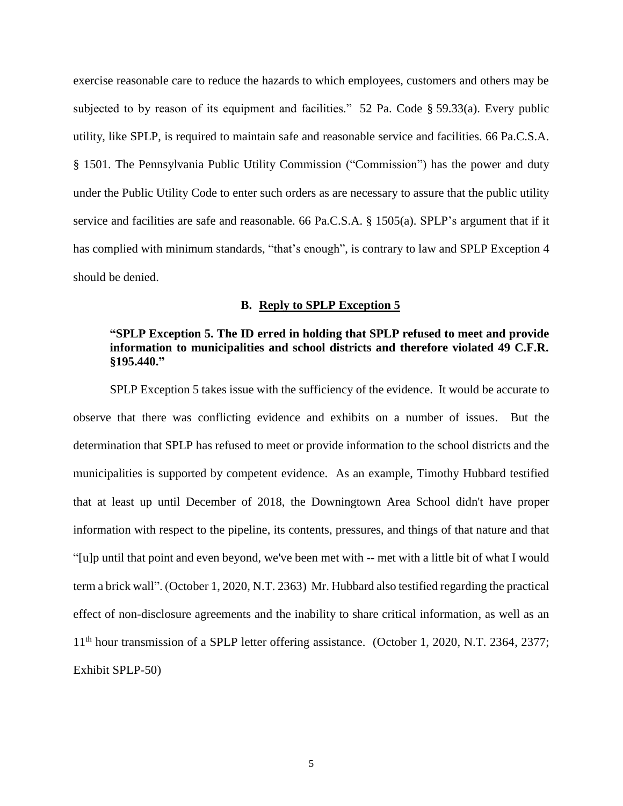exercise reasonable care to reduce the hazards to which employees, customers and others may be subjected to by reason of its equipment and facilities." 52 Pa. Code § 59.33(a). Every public utility, like SPLP, is required to maintain safe and reasonable service and facilities. 66 Pa.C.S.A. § 1501. The Pennsylvania Public Utility Commission ("Commission") has the power and duty under the Public Utility Code to enter such orders as are necessary to assure that the public utility service and facilities are safe and reasonable. 66 Pa.C.S.A. § 1505(a). SPLP's argument that if it has complied with minimum standards, "that's enough", is contrary to law and SPLP Exception 4 should be denied.

#### **B. Reply to SPLP Exception 5**

## **"SPLP Exception 5. The ID erred in holding that SPLP refused to meet and provide information to municipalities and school districts and therefore violated 49 C.F.R. §195.440."**

SPLP Exception 5 takes issue with the sufficiency of the evidence. It would be accurate to observe that there was conflicting evidence and exhibits on a number of issues. But the determination that SPLP has refused to meet or provide information to the school districts and the municipalities is supported by competent evidence. As an example, Timothy Hubbard testified that at least up until December of 2018, the Downingtown Area School didn't have proper information with respect to the pipeline, its contents, pressures, and things of that nature and that "[u]p until that point and even beyond, we've been met with -- met with a little bit of what I would term a brick wall". (October 1, 2020, N.T. 2363) Mr. Hubbard also testified regarding the practical effect of non-disclosure agreements and the inability to share critical information, as well as an 11<sup>th</sup> hour transmission of a SPLP letter offering assistance. (October 1, 2020, N.T. 2364, 2377; Exhibit SPLP-50)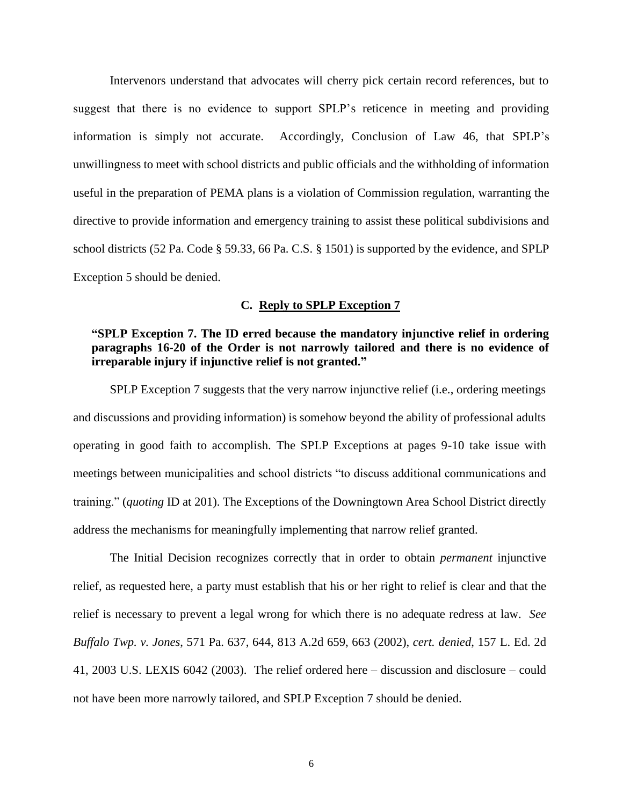Intervenors understand that advocates will cherry pick certain record references, but to suggest that there is no evidence to support SPLP's reticence in meeting and providing information is simply not accurate. Accordingly, Conclusion of Law 46, that SPLP's unwillingness to meet with school districts and public officials and the withholding of information useful in the preparation of PEMA plans is a violation of Commission regulation, warranting the directive to provide information and emergency training to assist these political subdivisions and school districts (52 Pa. Code § 59.33, 66 Pa. C.S. § 1501) is supported by the evidence, and SPLP Exception 5 should be denied.

#### **C. Reply to SPLP Exception 7**

## **"SPLP Exception 7. The ID erred because the mandatory injunctive relief in ordering paragraphs 16-20 of the Order is not narrowly tailored and there is no evidence of irreparable injury if injunctive relief is not granted."**

SPLP Exception 7 suggests that the very narrow injunctive relief (i.e., ordering meetings and discussions and providing information) is somehow beyond the ability of professional adults operating in good faith to accomplish. The SPLP Exceptions at pages 9-10 take issue with meetings between municipalities and school districts "to discuss additional communications and training." (*quoting* ID at 201). The Exceptions of the Downingtown Area School District directly address the mechanisms for meaningfully implementing that narrow relief granted.

The Initial Decision recognizes correctly that in order to obtain *permanent* injunctive relief, as requested here, a party must establish that his or her right to relief is clear and that the relief is necessary to prevent a legal wrong for which there is no adequate redress at law. *See Buffalo Twp. v. Jones*, 571 Pa. 637, 644, 813 A.2d 659, 663 (2002), *cert. denied*, 157 L. Ed. 2d 41, 2003 U.S. LEXIS 6042 (2003). The relief ordered here – discussion and disclosure – could not have been more narrowly tailored, and SPLP Exception 7 should be denied.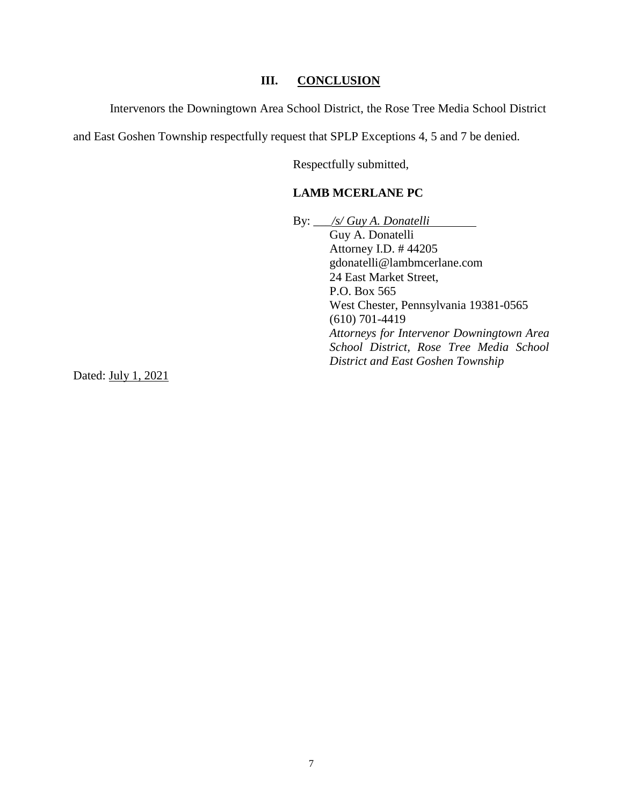## **III. CONCLUSION**

Intervenors the Downingtown Area School District, the Rose Tree Media School District

and East Goshen Township respectfully request that SPLP Exceptions 4, 5 and 7 be denied.

Respectfully submitted,

## **LAMB MCERLANE PC**

By: \_\_\_*/s/ Guy A. Donatelli* Guy A. Donatelli Attorney I.D. # 44205 gdonatelli@lambmcerlane.com 24 East Market Street, P.O. Box 565 West Chester, Pennsylvania 19381-0565 (610) 701-4419 *Attorneys for Intervenor Downingtown Area School District, Rose Tree Media School District and East Goshen Township*

Dated: July 1, 2021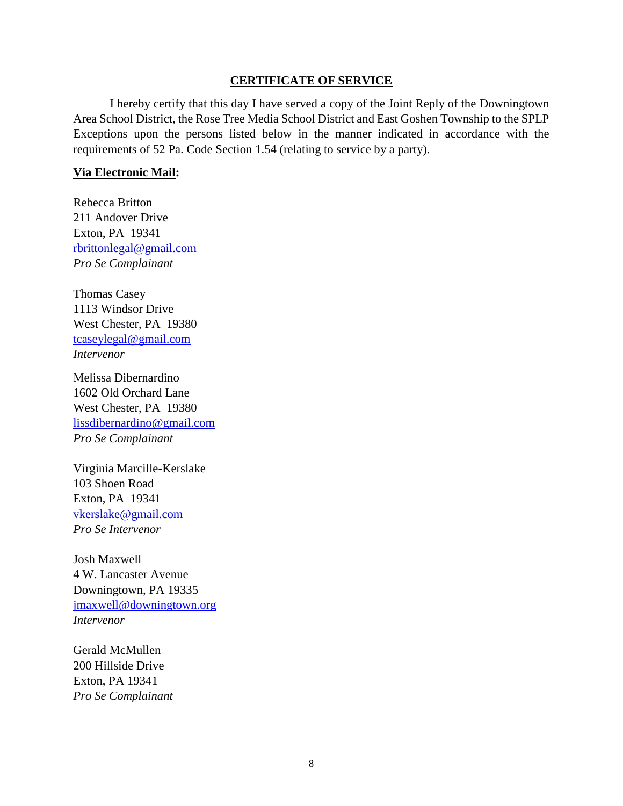### **CERTIFICATE OF SERVICE**

I hereby certify that this day I have served a copy of the Joint Reply of the Downingtown Area School District, the Rose Tree Media School District and East Goshen Township to the SPLP Exceptions upon the persons listed below in the manner indicated in accordance with the requirements of 52 Pa. Code Section 1.54 (relating to service by a party).

### **Via Electronic Mail:**

Rebecca Britton 211 Andover Drive Exton, PA 19341 rbrittonlegal@gmail.com *Pro Se Complainant*

Thomas Casey 1113 Windsor Drive West Chester, PA 19380 [tcaseylegal@gmail.com](mailto:tcaseylegal@gmail.com) *Intervenor*

Melissa Dibernardino 1602 Old Orchard Lane West Chester, PA 19380 lissdibernardino@gmail.com *Pro Se Complainant*

Virginia Marcille-Kerslake 103 Shoen Road Exton, PA 19341 vkerslake@gmail.com *Pro Se Intervenor*

Josh Maxwell 4 W. Lancaster Avenue Downingtown, PA 19335 [jmaxwell@downingtown.org](mailto:jmaxwell@downingtown.org) *Intervenor*

Gerald McMullen 200 Hillside Drive Exton, PA 19341 *Pro Se Complainant*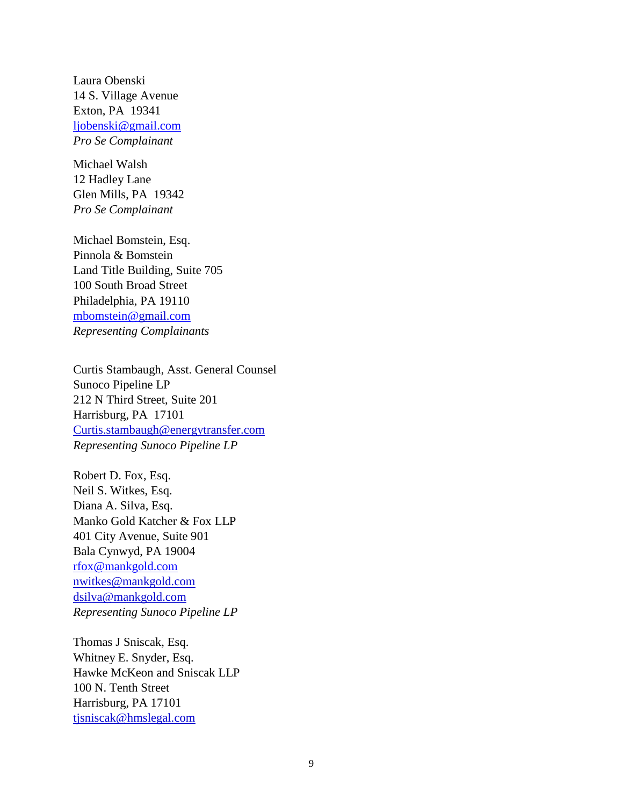Laura Obenski 14 S. Village Avenue Exton, PA 19341 [ljobenski@gmail.com](mailto:ljobenski@gmail.com) *Pro Se Complainant*

Michael Walsh 12 Hadley Lane Glen Mills, PA 19342 *Pro Se Complainant*

Michael Bomstein, Esq. Pinnola & Bomstein Land Title Building, Suite 705 100 South Broad Street Philadelphia, PA 19110 [mbomstein@gmail.com](mailto:mbomstein@gmail.com) *Representing Complainants*

Curtis Stambaugh, Asst. General Counsel Sunoco Pipeline LP 212 N Third Street, Suite 201 Harrisburg, PA 17101 Curtis.stambaugh@energytransfer.com *Representing Sunoco Pipeline LP*

Robert D. Fox, Esq. Neil S. Witkes, Esq. Diana A. Silva, Esq. Manko Gold Katcher & Fox LLP 401 City Avenue, Suite 901 Bala Cynwyd, PA 19004 [rfox@mankgold.com](mailto:rfox@mankgold.com) nwitkes@mankgold.com dsilva@mankgold.com *Representing Sunoco Pipeline LP*

Thomas J Sniscak, Esq. Whitney E. Snyder, Esq. Hawke McKeon and Sniscak LLP 100 N. Tenth Street Harrisburg, PA 17101 tjsniscak@hmslegal.com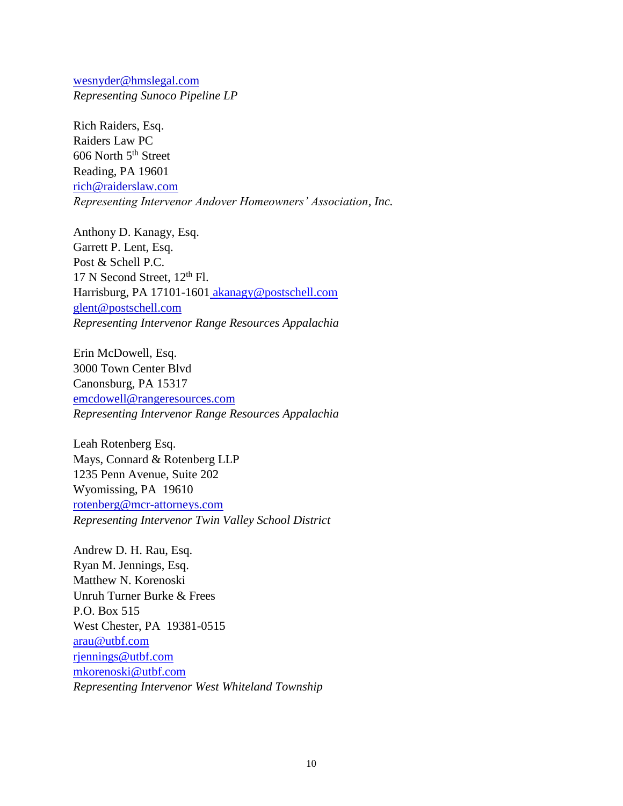wesnyder@hmslegal.com *Representing Sunoco Pipeline LP*

Rich Raiders, Esq. Raiders Law PC 606 North  $5<sup>th</sup>$  Street Reading, PA 19601 rich@raiderslaw.com *Representing Intervenor Andover Homeowners' Association, Inc.*

Anthony D. Kanagy, Esq. Garrett P. Lent, Esq. Post & Schell P.C.  $17$  N Second Street,  $12<sup>th</sup>$  Fl. Harrisburg, PA 17101-1601 [akanagy@postschell.com](mailto:akanagy@postschell.com) glent@postschell.com *Representing Intervenor Range Resources Appalachia*

Erin McDowell, Esq. 3000 Town Center Blvd Canonsburg, PA 15317 emcdowell@rangeresources.com *Representing Intervenor Range Resources Appalachia* 

Leah Rotenberg Esq. Mays, Connard & Rotenberg LLP 1235 Penn Avenue, Suite 202 Wyomissing, PA 19610 rotenberg@mcr-attorneys.com *Representing Intervenor Twin Valley School District* 

Andrew D. H. Rau, Esq. Ryan M. Jennings, Esq. Matthew N. Korenoski Unruh Turner Burke & Frees P.O. Box 515 West Chester, PA 19381-0515 [arau@utbf.com](mailto:arau@utbf.com) [rjennings@utbf.com](mailto:rjennings@utbf.com) [mkorenoski@utbf.com](mailto:mkorenoski@utbf.com) *Representing Intervenor West Whiteland Township*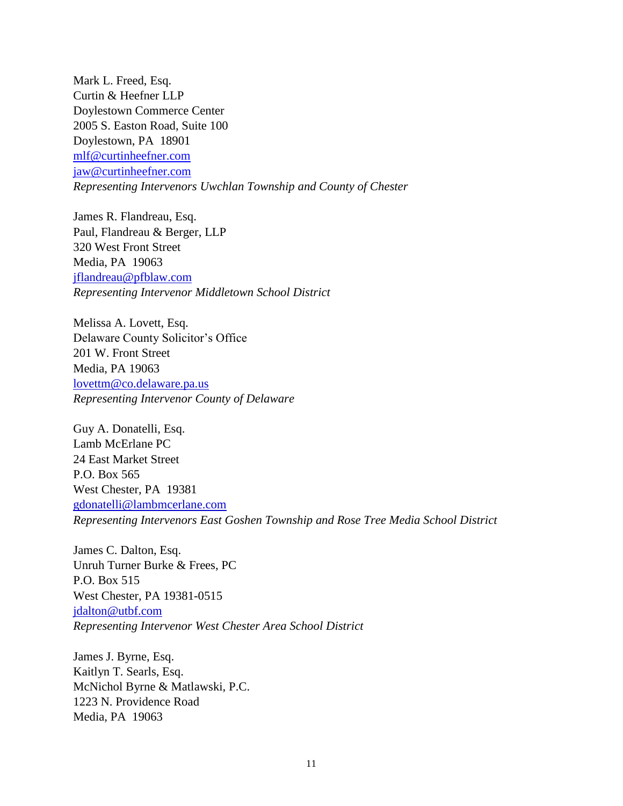Mark L. Freed, Esq. Curtin & Heefner LLP Doylestown Commerce Center 2005 S. Easton Road, Suite 100 Doylestown, PA 18901 [mlf@curtinheefner.com](mailto:mlf@curtinheefner.com) [jaw@curtinheefner.com](mailto:jaw@curtinheefner.com) *Representing Intervenors Uwchlan Township and County of Chester*

James R. Flandreau, Esq. Paul, Flandreau & Berger, LLP 320 West Front Street Media, PA 19063 jflandreau@pfblaw.com *Representing Intervenor Middletown School District*

Melissa A. Lovett, Esq. Delaware County Solicitor's Office 201 W. Front Street Media, PA 19063 lovettm@co.delaware.pa.us *Representing Intervenor County of Delaware* 

Guy A. Donatelli, Esq. Lamb McErlane PC 24 East Market Street P.O. Box 565 West Chester, PA 19381 gdonatelli@lambmcerlane.com *Representing Intervenors East Goshen Township and Rose Tree Media School District* 

James C. Dalton, Esq. Unruh Turner Burke & Frees, PC P.O. Box 515 West Chester, PA 19381-0515 jdalton@utbf.com *Representing Intervenor West Chester Area School District* 

James J. Byrne, Esq. Kaitlyn T. Searls, Esq. McNichol Byrne & Matlawski, P.C. 1223 N. Providence Road Media, PA 19063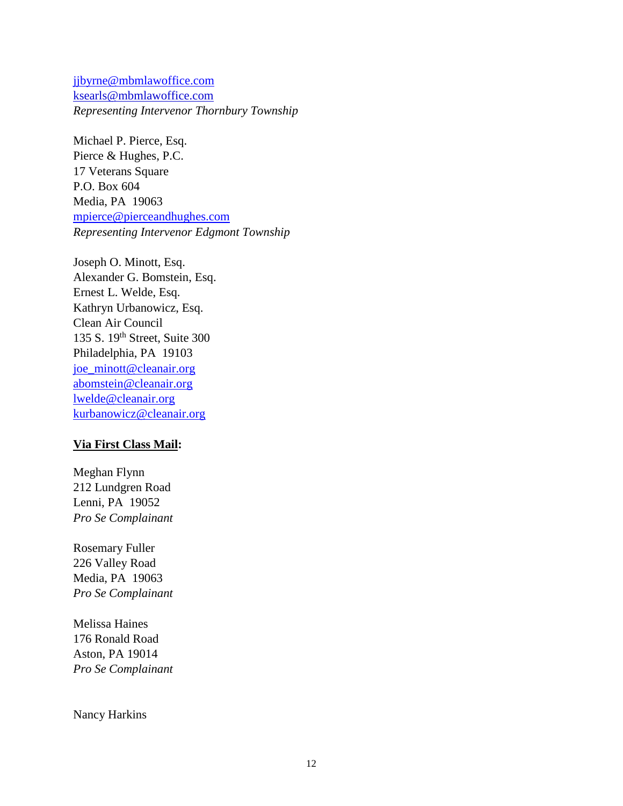[jjbyrne@mbmlawoffice.com](mailto:jjbyrne@mbmlawoffice.com) ksearls@mbmlawoffice.com *Representing Intervenor Thornbury Township* 

Michael P. Pierce, Esq. Pierce & Hughes, P.C. 17 Veterans Square P.O. Box 604 Media, PA 19063 [mpierce@pierceandhughes.com](mailto:mpierce@pierceandhughes.com) *Representing Intervenor Edgmont Township*

Joseph O. Minott, Esq. Alexander G. Bomstein, Esq. Ernest L. Welde, Esq. Kathryn Urbanowicz, Esq. Clean Air Council 135 S. 19th Street, Suite 300 Philadelphia, PA 19103 [joe\\_minott@cleanair.org](mailto:joe_minott@cleanair.org) [abomstein@cleanair.org](mailto:abomstein@cleanair.org) [lwelde@cleanair.org](mailto:lwelde@cleanair.org) [kurbanowicz@cleanair.org](mailto:kurbanowicz@cleanair.org)

## **Via First Class Mail:**

Meghan Flynn 212 Lundgren Road Lenni, PA 19052 *Pro Se Complainant*

Rosemary Fuller 226 Valley Road Media, PA 19063 *Pro Se Complainant*

Melissa Haines 176 Ronald Road Aston, PA 19014 *Pro Se Complainant*

Nancy Harkins